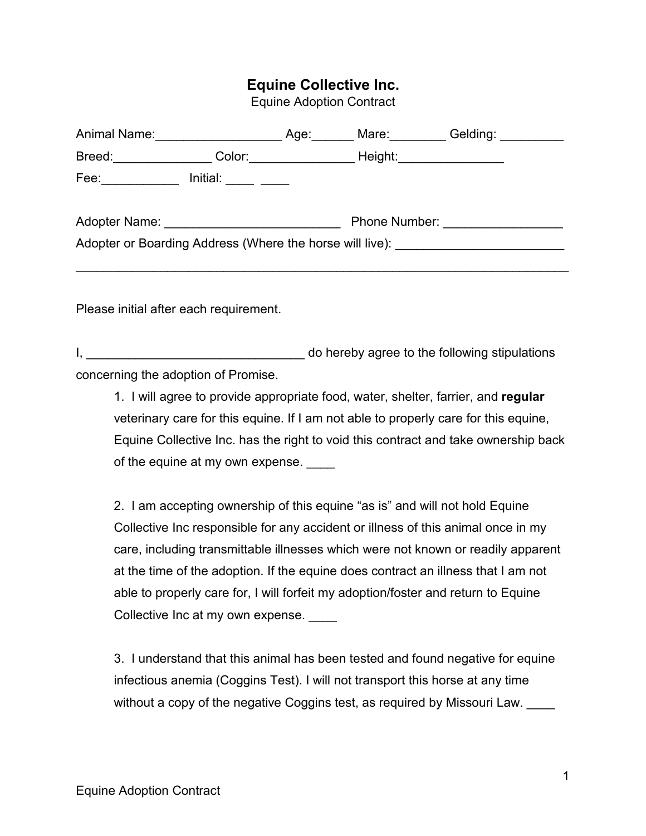## **Equine Collective Inc.**

Equine Adoption Contract

| Animal Name:                                             | Age: | Mare:                    | Gelding: ____ |
|----------------------------------------------------------|------|--------------------------|---------------|
| Breed:<br>Color:                                         |      | Height:_________________ |               |
| Fee:<br>Initial:                                         |      |                          |               |
|                                                          |      |                          |               |
| Adopter Name: Namerical Adopter Name:                    |      | <b>Phone Number:</b>     |               |
| Adopter or Boarding Address (Where the horse will live): |      |                          |               |
|                                                          |      |                          |               |

Please initial after each requirement.

I, the contract of the following stipulations of the following stipulations of the following stipulations of the following stipulations concerning the adoption of Promise.1. <sup>I</sup> will agree to provide appropriate food, water, shelter, farrier, and **regular**

veterinary care for this equine. If I am not able to properly care for this equine, Equine Collective Inc. has the right to void this contract and take ownership back of the equine at my own expense.

2. I am accepting ownership of this equine "as is" and will not hold Equine Collective Inc responsible for any accident or illness of this animal once in my care, including transmittable illnesses which were not known or readily apparent at the time of the adoption. If the equine does contract an illness that I am not able to properly care for, I will forfeit my adoption/foster and return to Equine Collective Inc at my own expense.

3. I understand that this animal has been tested and found negative for equine infectious anemia (Coggins Test). I will not transport this horse at any time without a copy of the negative Coggins test, as required by Missouri Law.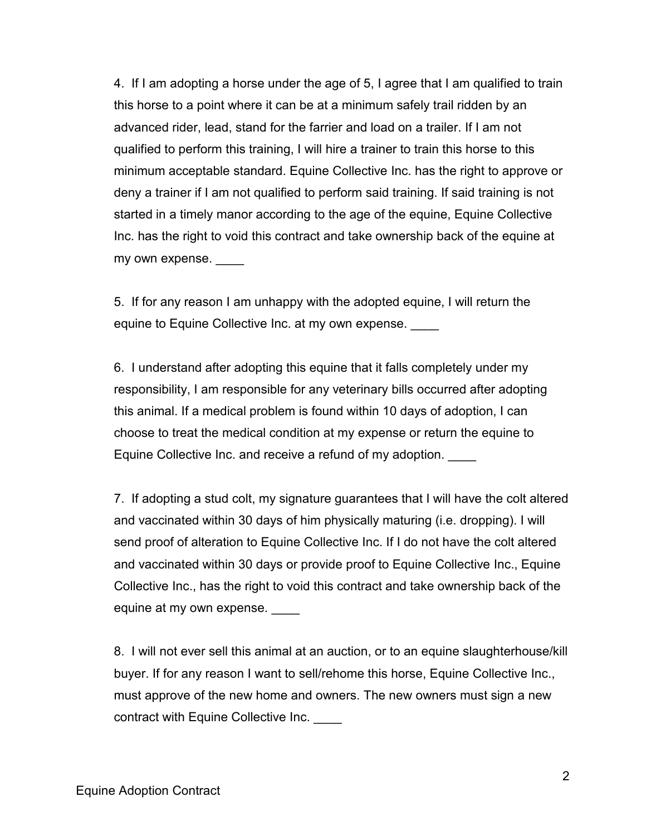4. If I am adopting a horse under the age of 5, I agree that I am qualified to train this horse to a point where it can be at a minimum safely trail ridden by an advanced rider, lead, stand for the farrier and load on a trailer. If I am not qualified to perform this training, I will hire a trainer to train this horse to this minimum acceptable standard. Equine Collective Inc. has the right to approve or deny a trainer if I am not qualified to perform said training. If said training is not started in a timely manor according to the age of the equine, Equine Collective Inc. has the right to void this contract and take ownership back of the equine at my own expense.

5. If for any reason I am unhappy with the adopted equine, I will return the equine to Equine Collective Inc. at my own expense.

6. I understand after adopting this equine that it falls completely under my responsibility, I am responsible for any veterinary bills occurred after adopting this animal. If a medical problem is found within 10 days of adoption, I can choose to treat the medical condition at my expense or return the equine to Equine Collective Inc. and receive a refund of my adoption. \_\_\_\_

7. If adopting a stud colt, my signature guarantees that I will have the colt altered and vaccinated within 30 days of him physically maturing (i.e. dropping). I will send proof of alteration to Equine Collective Inc. If I do not have the colt altered and vaccinated within 30 days or provide proof to Equine Collective Inc., Equine Collective Inc., has the right to void this contract and take ownership back of the equine at my own expense.

8. I will not ever sell this animal at an auction, or to an equine slaughterhouse/kill buyer. If for any reason I want to sell/rehome this horse, Equine Collective Inc., must approve of the new home and owners. The new owners must sign a new contract with Equine Collective Inc. \_\_\_\_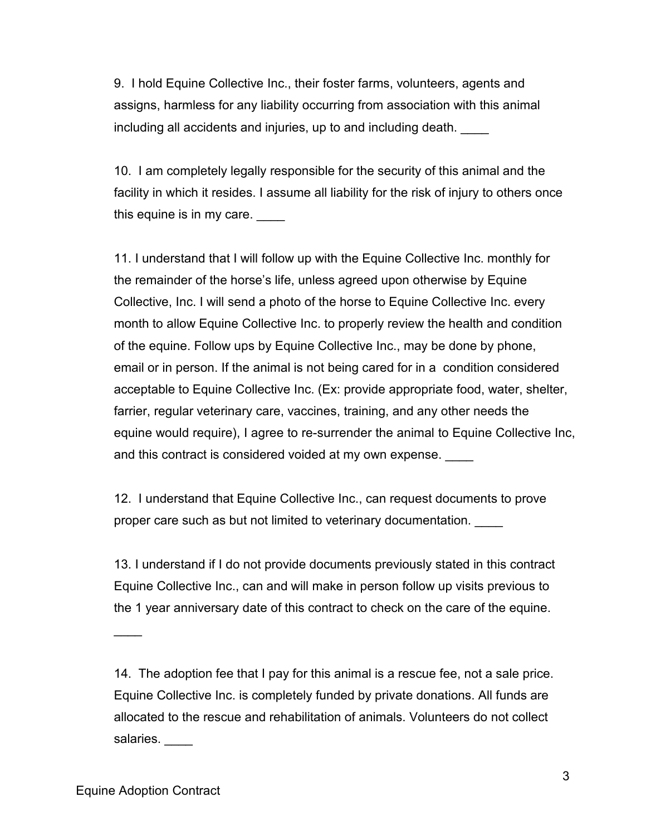9. I hold Equine Collective Inc., their foster farms, volunteers, agents and assigns, harmless for any liability occurring from association with this animal including all accidents and injuries, up to and including death.

10. I am completely legally responsible for the security of this animal and the facility in which it resides. I assume all liability for the risk of injury to others once this equine is in my care.

11. I understand that I will follow up with the Equine Collective Inc. monthly for the remainder of the horse's life, unless agreed upon otherwise by Equine Collective, Inc. I will send a photo of the horse to Equine Collective Inc. every month to allow Equine Collective Inc. to properly review the health and condition of the equine. Follow ups by Equine Collective Inc., may be done by phone, email or in person. If the animal is not being cared for in a condition considered acceptable to Equine Collective Inc. (Ex: provide appropriate food, water, shelter, farrier, regular veterinary care, vaccines, training, and any other needs the equine would require), I agree to re-surrender the animal to Equine Collective Inc, and this contract is considered voided at my own expense.

12. I understand that Equine Collective Inc., can request documents to prove proper care such as but not limited to veterinary documentation.

13. I understand if I do not provide documents previously stated in this contract Equine Collective Inc., can and will make in person follow up visits previous to the 1 year anniversary date of this contract to check on the care of the equine.

14. The adoption fee that I pay for this animal is a rescue fee, not a sale price. Equine Collective Inc. is completely funded by private donations. All funds are allocated to the rescue and rehabilitation of animals. Volunteers do not collect salaries. \_\_\_\_

 $\frac{1}{2}$  ,  $\frac{1}{2}$  ,  $\frac{1}{2}$  ,  $\frac{1}{2}$  ,  $\frac{1}{2}$  ,  $\frac{1}{2}$  ,  $\frac{1}{2}$  ,  $\frac{1}{2}$  ,  $\frac{1}{2}$  ,  $\frac{1}{2}$  ,  $\frac{1}{2}$  ,  $\frac{1}{2}$  ,  $\frac{1}{2}$  ,  $\frac{1}{2}$  ,  $\frac{1}{2}$  ,  $\frac{1}{2}$  ,  $\frac{1}{2}$  ,  $\frac{1}{2}$  ,  $\frac{1$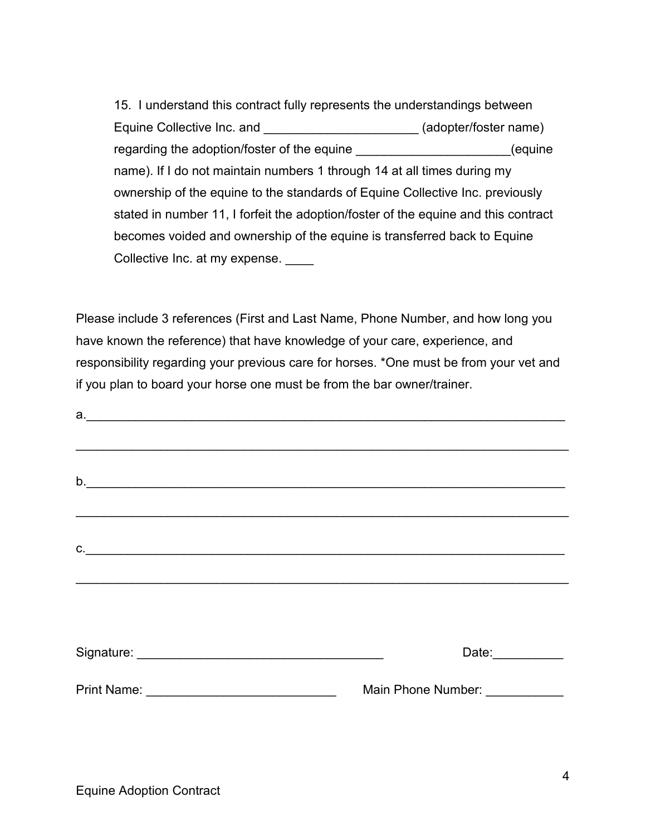15. I understand this contract fully represents the understandings between Equine Collective Inc. and \_\_\_\_\_\_\_\_\_\_\_\_\_\_\_\_\_\_\_\_\_\_\_\_\_\_ (adopter/foster name) regarding the adoption/foster of the equine determine the state of the equine the state of the state of the sta name). If I do not maintain numbers 1 through 14 at all times during my ownership of the equine to the standards of Equine Collective Inc. previously stated in number 11, I forfeit the adoption/foster of the equine and this contract becomes voided and ownership of the equine is transferred back to Equine Collective Inc. at my expense.

Please include 3 references (First and Last Name, Phone Number, and how long you have known the reference) that have knowledge of your care, experience, and responsibility regarding your previous care for horses. \*One must be from your vet and if you plan to board your horse one must be from the bar owner/trainer.

| b. | and the control of the control of the control of the control of the control of the control of the control of the |  |
|----|------------------------------------------------------------------------------------------------------------------|--|
|    |                                                                                                                  |  |
|    |                                                                                                                  |  |
|    | $\mathsf{C}$ .                                                                                                   |  |
|    |                                                                                                                  |  |
|    |                                                                                                                  |  |
|    | Date:                                                                                                            |  |
|    | Main Phone Number: ___________                                                                                   |  |
|    |                                                                                                                  |  |